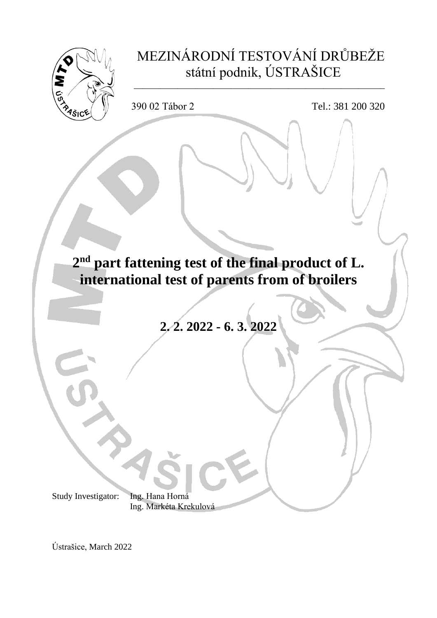

Ústrašice, March 2022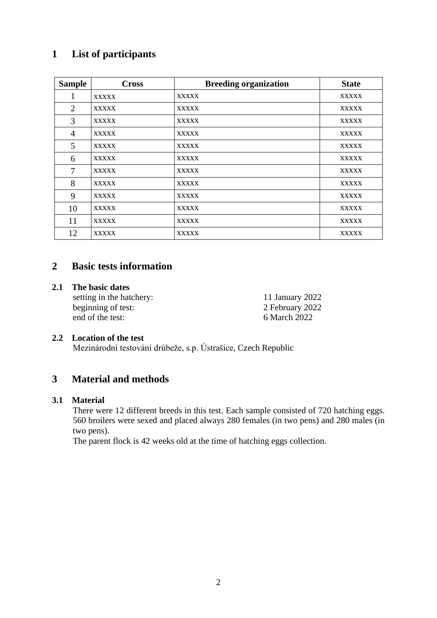# **List of participants**

| <b>Sample</b>  | <b>Cross</b> | <b>Breeding organization</b> | <b>State</b> |
|----------------|--------------|------------------------------|--------------|
| 1              | <b>XXXXX</b> | <b>XXXXX</b>                 | <b>XXXXX</b> |
| $\overline{2}$ | <b>XXXXX</b> | <b>XXXXX</b>                 | <b>XXXXX</b> |
| 3              | <b>XXXXX</b> | <b>XXXXX</b>                 | <b>XXXXX</b> |
| $\overline{4}$ | <b>XXXXX</b> | <b>XXXXX</b>                 | <b>XXXXX</b> |
| 5              | <b>XXXXX</b> | <b>XXXXX</b>                 | <b>XXXXX</b> |
| 6              | <b>XXXXX</b> | <b>XXXXX</b>                 | <b>XXXXX</b> |
| $\overline{7}$ | <b>XXXXX</b> | <b>XXXXX</b>                 | <b>XXXXX</b> |
| 8              | <b>XXXXX</b> | <b>XXXXX</b>                 | <b>XXXXX</b> |
| 9              | <b>XXXXX</b> | <b>XXXXX</b>                 | <b>XXXXX</b> |
| 10             | <b>XXXXX</b> | <b>XXXXX</b>                 | <b>XXXXX</b> |
| 11             | <b>XXXXX</b> | <b>XXXXX</b>                 | <b>XXXXX</b> |
| 12             | <b>XXXXX</b> | <b>XXXXX</b>                 | <b>XXXXX</b> |

## **Basic tests information**

#### **2.1 The basic dates**

setting in the hatchery: 11 January 2022 beginning of test: 2 February 2022<br>end of the test: 6 March 2022

March 2022

## **2.2 Location of the test**

Mezinárodní testování drůbeže, s.p. Ústrašice, Czech Republic

# **Material and methods**

#### **3.1 Material**

There were 12 different breeds in this test. Each sample consisted of 720 hatching eggs. 560 broilers were sexed and placed always 280 females (in two pens) and 280 males (in two pens).

The parent flock is 42 weeks old at the time of hatching eggs collection.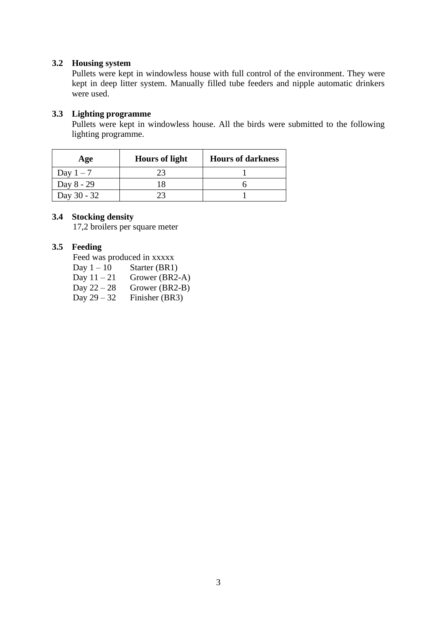## **3.2 Housing system**

Pullets were kept in windowless house with full control of the environment. They were kept in deep litter system. Manually filled tube feeders and nipple automatic drinkers were used.

## **3.3 Lighting programme**

Pullets were kept in windowless house. All the birds were submitted to the following lighting programme.

| Age         | <b>Hours of light</b> | <b>Hours of darkness</b> |
|-------------|-----------------------|--------------------------|
| Day $1-7$   |                       |                          |
| Day 8 - 29  |                       |                          |
| Day 30 - 32 |                       |                          |

#### **3.4 Stocking density**

17,2 broilers per square meter

## **3.5 Feeding**

Feed was produced in xxxxx

Day  $1 - 10$  Starter (BR1)

- Day  $11 21$  Grower (BR2-A)<br>Day  $22 28$  Grower (BR2-B)
- Day  $22 28$  Grower (BR2-B)<br>Day  $29 32$  Finisher (BR3)
- Finisher (BR3)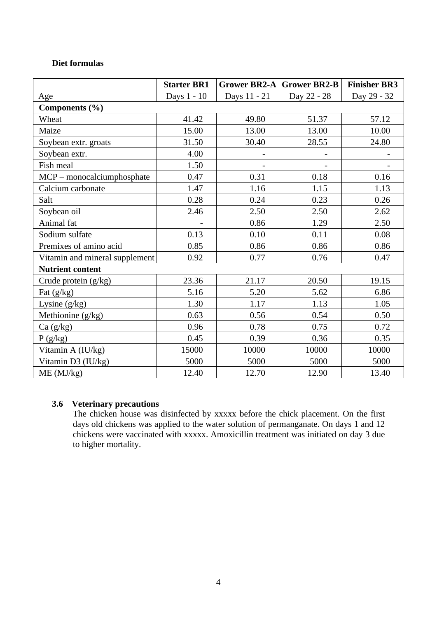## **Diet formulas**

|                                | <b>Starter BR1</b> |              | <b>Grower BR2-A Grower BR2-B</b> | <b>Finisher BR3</b> |  |
|--------------------------------|--------------------|--------------|----------------------------------|---------------------|--|
| Age                            | Days 1 - 10        | Days 11 - 21 | Day 22 - 28                      | Day 29 - 32         |  |
| Components (%)                 |                    |              |                                  |                     |  |
| Wheat                          | 41.42              | 49.80        | 51.37                            | 57.12               |  |
| Maize                          | 15.00              | 13.00        | 13.00                            | 10.00               |  |
| Soybean extr. groats           | 31.50              | 30.40        | 28.55                            | 24.80               |  |
| Soybean extr.                  | 4.00               |              |                                  |                     |  |
| Fish meal                      | 1.50               |              |                                  |                     |  |
| MCP - monocalciumphosphate     | 0.47               | 0.31         | 0.18                             | 0.16                |  |
| Calcium carbonate              | 1.47               | 1.16         | 1.15                             | 1.13                |  |
| Salt                           | 0.28               | 0.24         | 0.23                             | 0.26                |  |
| Soybean oil                    | 2.46               | 2.50         | 2.50                             | 2.62                |  |
| Animal fat                     |                    | 0.86         | 1.29                             | 2.50                |  |
| Sodium sulfate                 | 0.13               | 0.10         | 0.11                             | 0.08                |  |
| Premixes of amino acid         | 0.85               | 0.86         | 0.86                             | 0.86                |  |
| Vitamin and mineral supplement | 0.92               | 0.77         | 0.76                             | 0.47                |  |
| <b>Nutrient content</b>        |                    |              |                                  |                     |  |
| Crude protein (g/kg)           | 23.36              | 21.17        | 20.50                            | 19.15               |  |
| Fat $(g/kg)$                   | 5.16               | 5.20         | 5.62                             | 6.86                |  |
| Lysine $(g/kg)$                | 1.30               | 1.17         | 1.13                             | 1.05                |  |
| Methionine (g/kg)              | 0.63               | 0.56         | 0.54                             | 0.50                |  |
| Ca(g/kg)                       | 0.96               | 0.78         | 0.75                             | 0.72                |  |
| P(g/kg)                        | 0.45               | 0.39         | 0.36                             | 0.35                |  |
| Vitamin A (IU/kg)              | 15000              | 10000        | 10000                            | 10000               |  |
| Vitamin D3 (IU/kg)             | 5000               | 5000         | 5000                             | 5000                |  |
| ME (MJ/kg)                     | 12.40              | 12.70        | 12.90                            | 13.40               |  |

## **3.6 Veterinary precautions**

The chicken house was disinfected by xxxxx before the chick placement. On the first days old chickens was applied to the water solution of permanganate. On days 1 and 12 chickens were vaccinated with xxxxx. Amoxicillin treatment was initiated on day 3 due to higher mortality.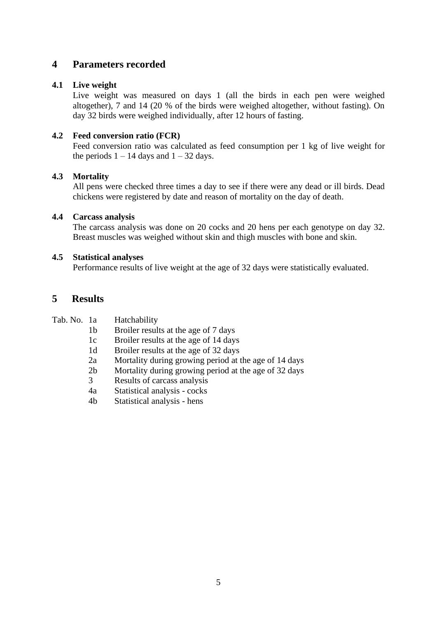# **4 Parameters recorded**

## **4.1 Live weight**

Live weight was measured on days 1 (all the birds in each pen were weighed altogether), 7 and 14 (20 % of the birds were weighed altogether, without fasting). On day 32 birds were weighed individually, after 12 hours of fasting.

## **4.2 Feed conversion ratio (FCR)**

Feed conversion ratio was calculated as feed consumption per 1 kg of live weight for the periods  $1 - 14$  days and  $1 - 32$  days.

## **4.3 Mortality**

All pens were checked three times a day to see if there were any dead or ill birds. Dead chickens were registered by date and reason of mortality on the day of death.

## **4.4 Carcass analysis**

The carcass analysis was done on 20 cocks and 20 hens per each genotype on day 32. Breast muscles was weighed without skin and thigh muscles with bone and skin.

#### **4.5 Statistical analyses**

Performance results of live weight at the age of 32 days were statistically evaluated.

## **5 Results**

| Tab. No. 1a<br>Hatchability |  |
|-----------------------------|--|
|-----------------------------|--|

- 1b Broiler results at the age of 7 days
- 1c Broiler results at the age of 14 days
- 1d Broiler results at the age of 32 days
- 2a Mortality during growing period at the age of 14 days
- 2b Mortality during growing period at the age of 32 days
- 3 Results of carcass analysis
- 4a Statistical analysis cocks
- 4b Statistical analysis hens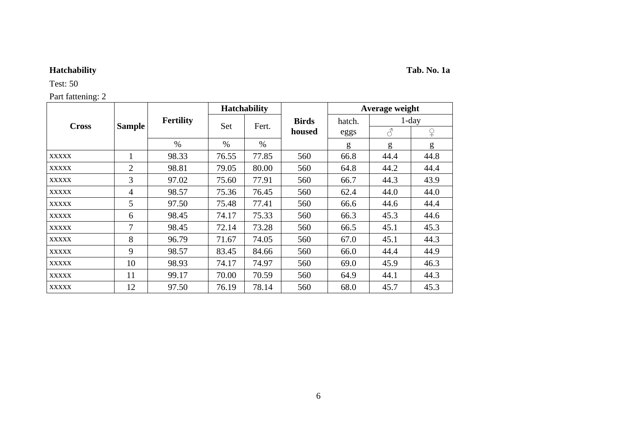# **Hatchability Tab. No. 1a**

Test: 50

| <b>Cross</b> |                |                  |       | <b>Hatchability</b> |              |        | Average weight |          |
|--------------|----------------|------------------|-------|---------------------|--------------|--------|----------------|----------|
|              |                | <b>Fertility</b> |       |                     | <b>Birds</b> | hatch. |                | $1$ -day |
|              | <b>Sample</b>  |                  | Set   | Fert.               | housed       | eggs   | $\mathcal{S}$  |          |
|              |                | $\%$             | $\%$  | $\%$                |              | g      | g              | g        |
| <b>XXXXX</b> |                | 98.33            | 76.55 | 77.85               | 560          | 66.8   | 44.4           | 44.8     |
| <b>XXXXX</b> | $\overline{2}$ | 98.81            | 79.05 | 80.00               | 560          | 64.8   | 44.2           | 44.4     |
| <b>XXXXX</b> | 3              | 97.02            | 75.60 | 77.91               | 560          | 66.7   | 44.3           | 43.9     |
| <b>XXXXX</b> | 4              | 98.57            | 75.36 | 76.45               | 560          | 62.4   | 44.0           | 44.0     |
| <b>XXXXX</b> | 5              | 97.50            | 75.48 | 77.41               | 560          | 66.6   | 44.6           | 44.4     |
| <b>XXXXX</b> | 6              | 98.45            | 74.17 | 75.33               | 560          | 66.3   | 45.3           | 44.6     |
| <b>XXXXX</b> | 7              | 98.45            | 72.14 | 73.28               | 560          | 66.5   | 45.1           | 45.3     |
| <b>XXXXX</b> | 8              | 96.79            | 71.67 | 74.05               | 560          | 67.0   | 45.1           | 44.3     |
| <b>XXXXX</b> | 9              | 98.57            | 83.45 | 84.66               | 560          | 66.0   | 44.4           | 44.9     |
| <b>XXXXX</b> | 10             | 98.93            | 74.17 | 74.97               | 560          | 69.0   | 45.9           | 46.3     |
| <b>XXXXX</b> | 11             | 99.17            | 70.00 | 70.59               | 560          | 64.9   | 44.1           | 44.3     |
| <b>XXXXX</b> | 12             | 97.50            | 76.19 | 78.14               | 560          | 68.0   | 45.7           | 45.3     |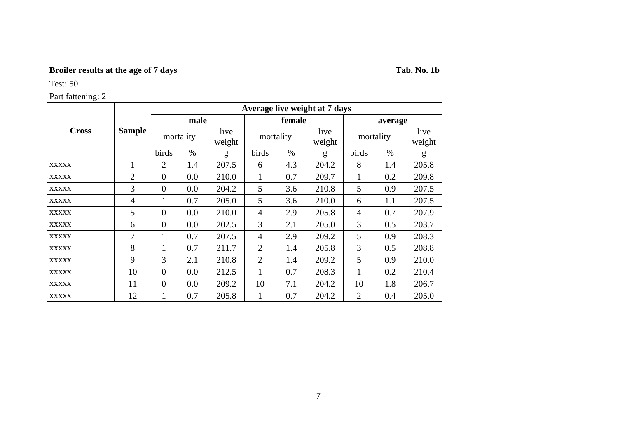# **Broiler results at the age of 7 days Tab. No. 1b**

Test: 50

|              |               |                       |           |                | Average live weight at 7 days |           |                |                |         |                |  |  |
|--------------|---------------|-----------------------|-----------|----------------|-------------------------------|-----------|----------------|----------------|---------|----------------|--|--|
|              |               |                       | male      |                |                               | female    |                |                | average |                |  |  |
| <b>Cross</b> | <b>Sample</b> |                       | mortality | live<br>weight |                               | mortality | live<br>weight | mortality      |         | live<br>weight |  |  |
|              |               | birds                 | $\%$      | g              | birds                         | $\%$      | g              | birds          | $\%$    | g              |  |  |
| <b>XXXXX</b> |               | 2                     | 1.4       | 207.5          | 6                             | 4.3       | 204.2          | 8              | 1.4     | 205.8          |  |  |
| <b>XXXXX</b> | 2             | $\boldsymbol{0}$      | 0.0       | 210.0          | 1                             | 0.7       | 209.7          | 1              | 0.2     | 209.8          |  |  |
| <b>XXXXX</b> | 3             | $\overline{0}$        | 0.0       | 204.2          | 5                             | 3.6       | 210.8          | 5              | 0.9     | 207.5          |  |  |
| <b>XXXXX</b> | 4             | 1                     | 0.7       | 205.0          | 5                             | 3.6       | 210.0          | 6              | 1.1     | 207.5          |  |  |
| <b>XXXXX</b> | 5             | $\overline{0}$        | 0.0       | 210.0          | 2.9<br>4                      |           | 205.8          | $\overline{4}$ | 0.7     | 207.9          |  |  |
| <b>XXXXX</b> | 6             | $\theta$              | 0.0       | 202.5          | 3<br>2.1                      |           | 205.0          | 3              | 0.5     | 203.7          |  |  |
| <b>XXXXX</b> | 7             | $\mathbf{1}$          | 0.7       | 207.5          | $\overline{4}$                | 2.9       | 209.2          | 5              | 0.9     | 208.3          |  |  |
| <b>XXXXX</b> | 8             |                       | 0.7       | 211.7          | $\overline{2}$                | 1.4       | 205.8          | 3              | 0.5     | 208.8          |  |  |
| <b>XXXXX</b> | 9             | 3                     | 2.1       | 210.8          | $\overline{2}$                | 1.4       | 209.2          | 5              | 0.9     | 210.0          |  |  |
| <b>XXXXX</b> | 10            | $\theta$              | 0.0       |                | 1                             | 0.7       | 208.3          |                | 0.2     | 210.4          |  |  |
| <b>XXXXX</b> | 11            | $\overline{0}$<br>0.0 |           | 209.2          | 7.1<br>10                     |           | 204.2          | 10             | 1.8     | 206.7          |  |  |
| <b>XXXXX</b> | 12            | $\mathbf{1}$          | 0.7       | 205.8          | 0.7<br>1                      |           | 204.2          | 2              | 0.4     | 205.0          |  |  |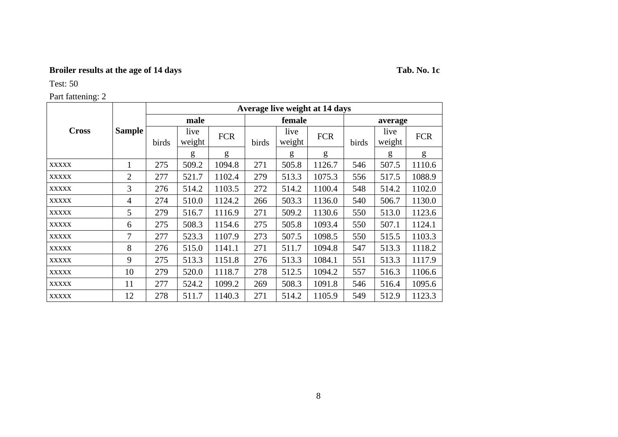# **Broiler results at the age of 14 days Tab. No. 1c**

Test: 50

|              |                |       |                |            |       |                | Average live weight at 14 days |       |                |            |
|--------------|----------------|-------|----------------|------------|-------|----------------|--------------------------------|-------|----------------|------------|
|              |                |       | male           |            |       | female         |                                |       | average        |            |
| <b>Cross</b> | <b>Sample</b>  | birds | live<br>weight | <b>FCR</b> | birds | live<br>weight | <b>FCR</b>                     | birds | live<br>weight | <b>FCR</b> |
|              |                |       | g              | g          |       | g              | g                              |       | g              | g          |
| <b>XXXXX</b> | 1              | 275   | 509.2          | 1094.8     | 271   | 505.8          | 1126.7                         | 546   | 507.5          | 1110.6     |
| <b>XXXXX</b> | $\overline{2}$ | 277   | 521.7          | 1102.4     | 279   | 513.3          | 1075.3                         | 556   | 517.5          | 1088.9     |
| <b>XXXXX</b> | 3              | 276   | 514.2          | 1103.5     | 272   | 514.2          | 1100.4                         | 548   | 514.2          | 1102.0     |
| <b>XXXXX</b> | 4              | 274   | 510.0          | 1124.2     | 266   | 503.3          | 1136.0                         | 540   | 506.7          | 1130.0     |
| <b>XXXXX</b> | 5              | 279   | 516.7          | 1116.9     | 271   | 509.2          | 1130.6                         | 550   | 513.0          | 1123.6     |
| <b>XXXXX</b> | 6              | 275   | 508.3          | 1154.6     | 275   | 505.8          | 1093.4                         | 550   | 507.1          | 1124.1     |
| <b>XXXXX</b> | 7              | 277   | 523.3          | 1107.9     | 273   | 507.5          | 1098.5                         | 550   | 515.5          | 1103.3     |
| <b>XXXXX</b> | 8              | 276   | 515.0          | 1141.1     | 271   | 511.7          | 1094.8                         | 547   | 513.3          | 1118.2     |
| <b>XXXXX</b> | 9              | 275   | 513.3          | 1151.8     | 276   | 513.3          | 1084.1                         | 551   | 513.3          | 1117.9     |
| <b>XXXXX</b> | 10             | 279   | 520.0          | 1118.7     | 278   | 512.5          | 1094.2                         | 557   | 516.3          | 1106.6     |
| <b>XXXXX</b> | 11             | 277   | 524.2          | 1099.2     | 269   | 508.3          | 1091.8                         | 546   | 516.4          | 1095.6     |
| <b>XXXXX</b> | 12             | 278   | 511.7          | 1140.3     | 271   | 514.2          | 1105.9                         | 549   | 512.9          | 1123.3     |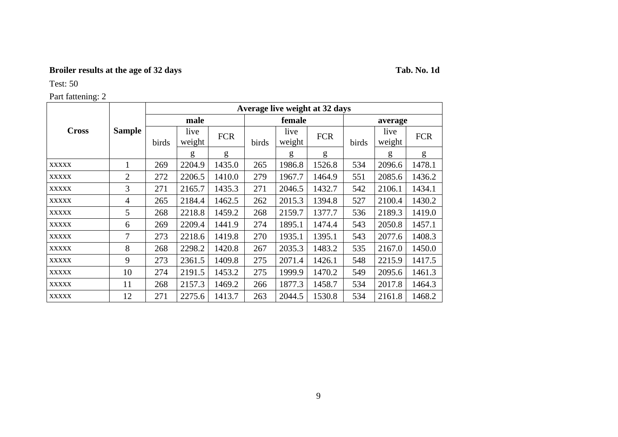# **Broiler results at the age of 32 days Tab. No. 1d**

Test: 50

|              |                | Average live weight at 32 days |                |            |               |                |            |       |                |            |  |  |  |  |
|--------------|----------------|--------------------------------|----------------|------------|---------------|----------------|------------|-------|----------------|------------|--|--|--|--|
|              |                |                                | male           |            |               | female         |            |       | average        |            |  |  |  |  |
| <b>Cross</b> | <b>Sample</b>  | birds                          | live<br>weight | <b>FCR</b> | birds         | live<br>weight | <b>FCR</b> | birds | live<br>weight | <b>FCR</b> |  |  |  |  |
|              |                |                                | g              | g          |               | g              | g          |       | g              | g          |  |  |  |  |
| <b>XXXXX</b> | 1              | 269                            | 2204.9         | 1435.0     | 265           | 1986.8         | 1526.8     | 534   | 2096.6         | 1478.1     |  |  |  |  |
| <b>XXXXX</b> | $\overline{2}$ | 272                            | 2206.5         | 1410.0     | 279           | 1967.7         | 1464.9     | 551   | 2085.6         | 1436.2     |  |  |  |  |
| <b>XXXXX</b> | 3              | 271                            | 2165.7         | 1435.3     | 271           | 2046.5         | 1432.7     | 542   | 2106.1         | 1434.1     |  |  |  |  |
| <b>XXXXX</b> | 4              | 265                            | 2184.4         | 1462.5     | 262           | 2015.3         | 1394.8     | 527   | 2100.4         | 1430.2     |  |  |  |  |
| <b>XXXXX</b> | 5              | 268                            | 2218.8         | 1459.2     | 268           | 2159.7         | 1377.7     | 536   | 2189.3         | 1419.0     |  |  |  |  |
| <b>XXXXX</b> | 6              | 269                            | 2209.4         | 1441.9     | 274           | 1895.1         | 1474.4     | 543   | 2050.8         | 1457.1     |  |  |  |  |
| <b>XXXXX</b> | 7              | 273                            | 2218.6         | 1419.8     | 270           | 1935.1         | 1395.1     | 543   | 2077.6         | 1408.3     |  |  |  |  |
| <b>XXXXX</b> | 8              | 268                            | 2298.2         | 1420.8     | 267           | 2035.3         | 1483.2     | 535   | 2167.0         | 1450.0     |  |  |  |  |
| <b>XXXXX</b> | 9              | 273                            | 2361.5         | 1409.8     | 275           | 2071.4         | 1426.1     | 548   | 2215.9         | 1417.5     |  |  |  |  |
| <b>XXXXX</b> | 10             | 274                            | 2191.5         | 1453.2     | 275<br>1999.9 |                | 1470.2     | 549   | 2095.6         | 1461.3     |  |  |  |  |
| <b>XXXXX</b> | 11             | 268                            | 2157.3         | 1469.2     | 266           | 1877.3         | 1458.7     | 534   | 2017.8         | 1464.3     |  |  |  |  |
| <b>XXXXX</b> | 12             | 271                            | 2275.6         | 1413.7     | 263           | 2044.5         | 1530.8     | 534   | 2161.8         | 1468.2     |  |  |  |  |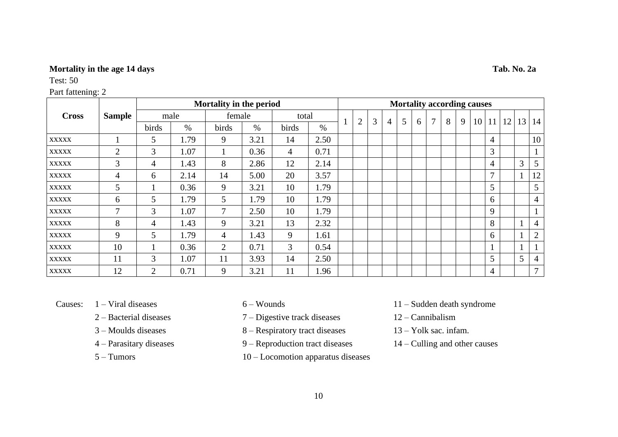## **Mortality in the age 14 days Tab. No. 2a**

Test: 50

| <b>Cross</b> |                |                |      | Mortality in the period |      |                |      |   |   |   |   |   |        |   |   | <b>Mortality according causes</b> |                |    |                 |                |
|--------------|----------------|----------------|------|-------------------------|------|----------------|------|---|---|---|---|---|--------|---|---|-----------------------------------|----------------|----|-----------------|----------------|
|              | <b>Sample</b>  |                | male | female                  |      | total          |      |   | 3 |   |   |   | $\tau$ | 8 |   |                                   |                |    |                 |                |
|              |                | birds          | $\%$ | birds                   | $\%$ | birds          | $\%$ | 2 |   | 4 | 5 | 6 |        |   | 9 | 10 <sup>1</sup>                   | 11             | 12 | 13 <sup>1</sup> | 14             |
| <b>XXXXX</b> |                | 5              | 1.79 | 9                       | 3.21 | 14             | 2.50 |   |   |   |   |   |        |   |   |                                   | $\overline{4}$ |    |                 | 10             |
| <b>XXXXX</b> | $\overline{2}$ | 3              | 1.07 |                         | 0.36 | $\overline{4}$ | 0.71 |   |   |   |   |   |        |   |   |                                   | 3              |    |                 |                |
| <b>XXXXX</b> | 3              | 4              | 1.43 | 8                       | 2.86 | 12             | 2.14 |   |   |   |   |   |        |   |   |                                   | $\overline{4}$ |    | 3               | 5              |
| <b>XXXXX</b> | 4              | 6              | 2.14 | 14                      | 5.00 | 20             | 3.57 |   |   |   |   |   |        |   |   |                                   | $\mathbf{r}$   |    | $\mathbf{1}$    | 12             |
| <b>XXXXX</b> | 5              |                | 0.36 | 9                       | 3.21 | 10             | 1.79 |   |   |   |   |   |        |   |   |                                   | 5              |    |                 | 5              |
| <b>XXXXX</b> | 6              | 5              | 1.79 | 5                       | 1.79 | 10             | 1.79 |   |   |   |   |   |        |   |   |                                   | 6              |    |                 | $\overline{4}$ |
| <b>XXXXX</b> | 7              | 3              | 1.07 | 7                       | 2.50 | 10             | 1.79 |   |   |   |   |   |        |   |   |                                   | 9              |    |                 |                |
| <b>XXXXX</b> | 8              | 4              | 1.43 | 9                       | 3.21 | 13             | 2.32 |   |   |   |   |   |        |   |   |                                   | 8              |    | 1               | 4              |
| <b>XXXXX</b> | 9              | 5              | 1.79 | $\overline{4}$          | 1.43 | 9              | 1.61 |   |   |   |   |   |        |   |   |                                   | 6              |    |                 | $\overline{2}$ |
| <b>XXXXX</b> | 10             |                | 0.36 | 2                       | 0.71 | 3              | 0.54 |   |   |   |   |   |        |   |   |                                   |                |    | 1               |                |
| <b>XXXXX</b> | 11             | 3              | 1.07 | 11                      | 3.93 | 14             | 2.50 |   |   |   |   |   |        |   |   |                                   | 5 <sup>1</sup> |    | 5               | 4              |
| <b>XXXXX</b> | 12             | $\overline{2}$ | 0.71 | 9                       | 3.21 | 11             | l.96 |   |   |   |   |   |        |   |   |                                   | 4              |    |                 | $\tau$         |

- 
- 
- 
- 
- 
- 2 Bacterial diseases 7 Digestive track diseases 12 Cannibalism
- 3 Moulds diseases 8 Respiratory tract diseases 13 Yolk sac. infam.
- 4 Parasitary diseases 9 Reproduction tract diseases 14 Culling and other causes
- 5 Tumors 10 Locomotion apparatus diseases
- Causes: 1 Viral diseases 6 Wounds 11 Sudden death syndrome
	-
	-
	-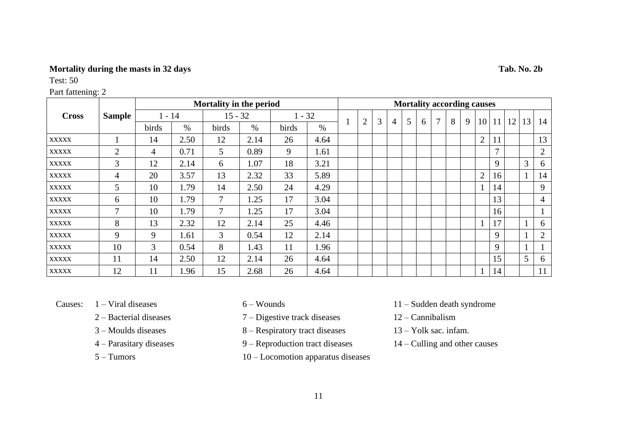## **Mortality during the masts in 32 days Tab. No. 2b**

Test: 50

## Part fattening: 2

|              |                |          |      | Mortality in the period |      |          |      | <b>Mortality according causes</b> |                |   |   |   |   |   |   |   |                 |               |                 |                |                |
|--------------|----------------|----------|------|-------------------------|------|----------|------|-----------------------------------|----------------|---|---|---|---|---|---|---|-----------------|---------------|-----------------|----------------|----------------|
| <b>Cross</b> | <b>Sample</b>  | $1 - 14$ |      | $15 - 32$               |      | $1 - 32$ |      |                                   |                |   |   |   |   | 7 |   | 9 |                 |               |                 |                |                |
|              |                | birds    | $\%$ | birds                   | $\%$ | birds    | $\%$ |                                   | $\overline{2}$ | 3 | 4 | 5 | 6 |   | 8 |   | 10 <sup>1</sup> | 11            | 12 <sub>1</sub> | 13             | 14             |
| <b>XXXXX</b> |                | 14       | 2.50 | 12                      | 2.14 | 26       | 4.64 |                                   |                |   |   |   |   |   |   |   | $\overline{2}$  | 11            |                 |                | 13             |
| <b>XXXXX</b> | $\overline{2}$ | 4        | 0.71 | 5                       | 0.89 | 9        | 1.61 |                                   |                |   |   |   |   |   |   |   |                 | $\mathcal{I}$ |                 |                | $\overline{2}$ |
| <b>XXXXX</b> | 3              | 12       | 2.14 | 6                       | 1.07 | 18       | 3.21 |                                   |                |   |   |   |   |   |   |   |                 | 9             |                 | 3              | 6              |
| <b>XXXXX</b> | $\overline{4}$ | 20       | 3.57 | 13                      | 2.32 | 33       | 5.89 |                                   |                |   |   |   |   |   |   |   | $\overline{2}$  | 16            |                 |                | 14             |
| <b>XXXXX</b> | 5              | 10       | 1.79 | 14                      | 2.50 | 24       | 4.29 |                                   |                |   |   |   |   |   |   |   |                 | 14            |                 |                | 9              |
| <b>XXXXX</b> | 6              | 10       | 1.79 | $\overline{7}$          | 1.25 | 17       | 3.04 |                                   |                |   |   |   |   |   |   |   |                 | 13            |                 |                | 4              |
| <b>XXXXX</b> | $\mathcal{I}$  | 10       | 1.79 | $\overline{7}$          | 1.25 | 17       | 3.04 |                                   |                |   |   |   |   |   |   |   |                 | 16            |                 |                |                |
| <b>XXXXX</b> | 8              | 13       | 2.32 | 12                      | 2.14 | 25       | 4.46 |                                   |                |   |   |   |   |   |   |   |                 | 17            |                 |                | 6              |
| <b>XXXXX</b> | 9              | 9        | 1.61 | $\mathfrak{Z}$          | 0.54 | 12       | 2.14 |                                   |                |   |   |   |   |   |   |   |                 | 9             |                 |                | $\overline{2}$ |
| <b>XXXXX</b> | 10             | 3        | 0.54 | 8                       | 1.43 | 11       | 1.96 |                                   |                |   |   |   |   |   |   |   |                 | 9             |                 |                |                |
| <b>XXXXX</b> | 11             | 14       | 2.50 | 12                      | 2.14 | 26       | 4.64 |                                   |                |   |   |   |   |   |   |   |                 | 15            |                 | 5 <sup>5</sup> | 6              |
| <b>XXXXX</b> | 12             | 11       | 1.96 | 15                      | 2.68 | 26       | 4.64 |                                   |                |   |   |   |   |   |   |   |                 | 14            |                 |                | 11             |

- 
- 
- 
- 
- 
- 2 Bacterial diseases 7 Digestive track diseases 12 Cannibalism
- 3 Moulds diseases 8 Respiratory tract diseases 13 Yolk sac. infam.
- 4 Parasitary diseases 9 Reproduction tract diseases 14 Culling and other causes
- 5 Tumors 10 Locomotion apparatus diseases

11

- Causes: 1 Viral diseases 6 Wounds 11 Sudden death syndrome
	-
	-
	-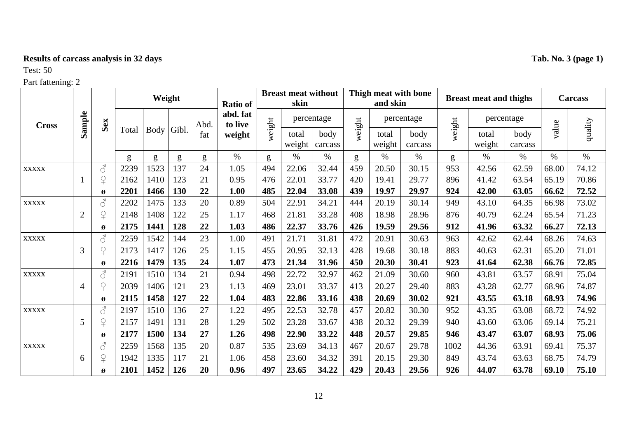# **Results of carcass analysis in 32 days Tab. No. 3 (page 1)**

# Test: 50

|              |                |                                                                                                                                             |       |      | Weight |      | <b>Ratio of</b>     |        | <b>Breast meat without</b><br>skin |                 |        | and skin        | Thigh meat with bone |        | <b>Breast meat and thighs</b> |                 |       | <b>Carcass</b> |
|--------------|----------------|---------------------------------------------------------------------------------------------------------------------------------------------|-------|------|--------|------|---------------------|--------|------------------------------------|-----------------|--------|-----------------|----------------------|--------|-------------------------------|-----------------|-------|----------------|
| <b>Cross</b> | Sample         | Sex                                                                                                                                         |       |      |        | Abd. | abd. fat<br>to live | weight |                                    | percentage      | weight |                 | percentage           |        |                               | percentage      |       |                |
|              |                |                                                                                                                                             | Total | Body | Gibl.  | fat  | weight              |        | total<br>weight                    | body<br>carcass |        | total<br>weight | body<br>carcass      | weight | total<br>weight               | body<br>carcass | value | quality        |
|              |                |                                                                                                                                             | g     | g    | g      | g    | $\%$                | g      | $\%$                               | $\%$            | g      | $\%$            | $\%$                 | g      | $\%$                          | $\%$            | $\%$  | $\%$           |
| <b>XXXXX</b> |                | $\vec{\mathcal{S}}$                                                                                                                         | 2239  | 1523 | 137    | 24   | 1.05                | 494    | 22.06                              | 32.44           | 459    | 20.50           | 30.15                | 953    | 42.56                         | 62.59           | 68.00 | 74.12          |
|              |                | $\overline{P}$                                                                                                                              | 2162  | 1410 | 123    | 21   | 0.95                | 476    | 22.01                              | 33.77           | 420    | 19.41           | 29.77                | 896    | 41.42                         | 63.54           | 65.19 | 70.86          |
|              |                | Ø                                                                                                                                           | 2201  | 1466 | 130    | 22   | 1.00                | 485    | 22.04                              | 33.08           | 439    | 19.97           | 29.97                | 924    | 42.00                         | 63.05           | 66.62 | 72.52          |
| <b>XXXXX</b> |                | $\mathcal{S}% _{M_{1},M_{2}}^{\ast }=\mathcal{S}_{M_{1},M_{2}}^{\ast }=\mathcal{S}_{M_{1},M_{2}}^{\ast }$                                   | 2202  | 1475 | 133    | 20   | 0.89                | 504    | 22.91                              | 34.21           | 444    | 20.19           | 30.14                | 949    | 43.10                         | 64.35           | 66.98 | 73.02          |
|              | $\overline{2}$ | $\overline{P}$                                                                                                                              | 2148  | 1408 | 122    | 25   | 1.17                | 468    | 21.81                              | 33.28           | 408    | 18.98           | 28.96                | 876    | 40.79                         | 62.24           | 65.54 | 71.23          |
|              |                | Ø                                                                                                                                           | 2175  | 1441 | 128    | 22   | 1.03                | 486    | 22.37                              | 33.76           | 426    | 19.59           | 29.56                | 912    | 41.96                         | 63.32           | 66.27 | 72.13          |
| <b>XXXXX</b> |                | $\mathcal{S}% _{M_{1},M_{2}}^{\ast }=\mathcal{S}_{M_{1},M_{2}}^{\ast }=\mathcal{S}_{M_{1},M_{2}}^{\ast }=\mathcal{S}_{M_{1},M_{2}}^{\ast }$ | 2259  | 1542 | 144    | 23   | 1.00                | 491    | 21.71                              | 31.81           | 472    | 20.91           | 30.63                | 963    | 42.62                         | 62.44           | 68.26 | 74.63          |
|              | 3              | $\overline{P}$                                                                                                                              | 2173  | 1417 | 126    | 25   | 1.15                | 455    | 20.95                              | 32.13           | 428    | 19.68           | 30.18                | 883    | 40.63                         | 62.31           | 65.20 | 71.01          |
|              |                | Ø                                                                                                                                           | 2216  | 1479 | 135    | 24   | 1.07                | 473    | 21.34                              | 31.96           | 450    | 20.30           | 30.41                | 923    | 41.64                         | 62.38           | 66.76 | 72.85          |
| <b>XXXXX</b> |                | $\mathcal{S}$                                                                                                                               | 2191  | 1510 | 134    | 21   | 0.94                | 498    | 22.72                              | 32.97           | 462    | 21.09           | 30.60                | 960    | 43.81                         | 63.57           | 68.91 | 75.04          |
|              | $\overline{4}$ | $\overline{P}$                                                                                                                              | 2039  | 1406 | 121    | 23   | 1.13                | 469    | 23.01                              | 33.37           | 413    | 20.27           | 29.40                | 883    | 43.28                         | 62.77           | 68.96 | 74.87          |
|              |                | Ø                                                                                                                                           | 2115  | 1458 | 127    | 22   | 1.04                | 483    | 22.86                              | 33.16           | 438    | 20.69           | 30.02                | 921    | 43.55                         | 63.18           | 68.93 | 74.96          |
| <b>XXXXX</b> |                | $\vec{\mathcal{S}}$                                                                                                                         | 2197  | 1510 | 136    | 27   | 1.22                | 495    | 22.53                              | 32.78           | 457    | 20.82           | 30.30                | 952    | 43.35                         | 63.08           | 68.72 | 74.92          |
|              | 5              | $\mathsf{P}$                                                                                                                                | 2157  | 1491 | 131    | 28   | 1.29                | 502    | 23.28                              | 33.67           | 438    | 20.32           | 29.39                | 940    | 43.60                         | 63.06           | 69.14 | 75.21          |
|              |                | $\boldsymbol{\alpha}$                                                                                                                       | 2177  | 1500 | 134    | 27   | 1.26                | 498    | 22.90                              | 33.22           | 448    | 20.57           | 29.85                | 946    | 43.47                         | 63.07           | 68.93 | 75.06          |
| <b>XXXXX</b> |                | $\vec{\mathcal{S}}$                                                                                                                         | 2259  | 1568 | 135    | 20   | 0.87                | 535    | 23.69                              | 34.13           | 467    | 20.67           | 29.78                | 1002   | 44.36                         | 63.91           | 69.41 | 75.37          |
|              | 6              | $\overline{P}$                                                                                                                              | 1942  | 1335 | 117    | 21   | 1.06                | 458    | 23.60                              | 34.32           | 391    | 20.15           | 29.30                | 849    | 43.74                         | 63.63           | 68.75 | 74.79          |
|              |                | Ø                                                                                                                                           | 2101  | 1452 | 126    | 20   | 0.96                | 497    | 23.65                              | 34.22           | 429    | 20.43           | 29.56                | 926    | 44.07                         | 63.78           | 69.10 | 75.10          |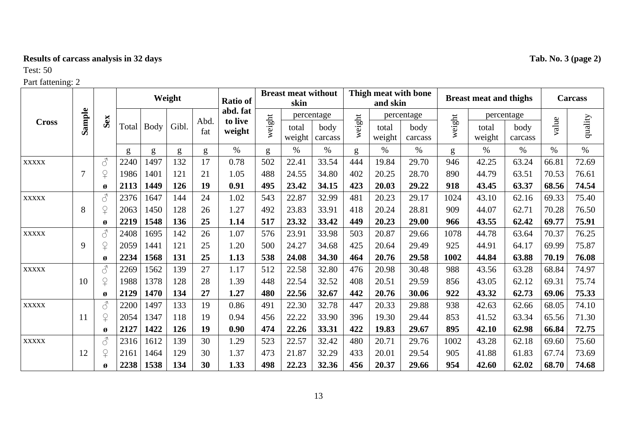# **Results of carcass analysis in 32 days Tab. No. 3 (page 2)**

# Test: 50

|              |        |                                                                                                                                                                                                                                                                                                                                                                                                                                   | Weight |              |       |             | <b>Breast meat without</b><br><b>Ratio of</b><br>skin<br>abd. fat<br>percentage |        |                 |                 |        | and skin        | Thigh meat with bone |        | <b>Breast meat and thighs</b> |                 |       | <b>Carcass</b> |
|--------------|--------|-----------------------------------------------------------------------------------------------------------------------------------------------------------------------------------------------------------------------------------------------------------------------------------------------------------------------------------------------------------------------------------------------------------------------------------|--------|--------------|-------|-------------|---------------------------------------------------------------------------------|--------|-----------------|-----------------|--------|-----------------|----------------------|--------|-------------------------------|-----------------|-------|----------------|
|              |        |                                                                                                                                                                                                                                                                                                                                                                                                                                   |        |              |       |             | to live                                                                         |        |                 |                 |        |                 | percentage           |        |                               | percentage      |       |                |
| <b>Cross</b> | Sample | Sex                                                                                                                                                                                                                                                                                                                                                                                                                               |        | Total   Body | Gibl. | Abd.<br>fat | weight                                                                          | weight | total<br>weight | body<br>carcass | weight | total<br>weight | body<br>carcass      | weight | total<br>weight               | body<br>carcass | value | quality        |
|              |        |                                                                                                                                                                                                                                                                                                                                                                                                                                   | g      | g            | g     | g           | $\%$                                                                            | g      | $\%$            | $\%$            | g      | $\%$            | $\%$                 | g      | $\%$                          | $\%$            | $\%$  | $\%$           |
| <b>XXXXX</b> |        | $\mathcal{S}$                                                                                                                                                                                                                                                                                                                                                                                                                     | 2240   | 1497         | 132   | 17          | 0.78                                                                            | 502    | 22.41           | 33.54           | 444    | 19.84           | 29.70                | 946    | 42.25                         | 63.24           | 66.81 | 72.69          |
|              | 7      | $\Omega$                                                                                                                                                                                                                                                                                                                                                                                                                          | 1986   | 1401         | 121   | 21          | 1.05                                                                            | 488    | 24.55           | 34.80           | 402    | 20.25           | 28.70                | 890    | 44.79                         | 63.51           | 70.53 | 76.61          |
|              |        | Ø                                                                                                                                                                                                                                                                                                                                                                                                                                 | 2113   | 1449         | 126   | 19          | 0.91                                                                            | 495    | 23.42           | 34.15           | 423    | 20.03           | 29.22                | 918    | 43.45                         | 63.37           | 68.56 | 74.54          |
| <b>XXXXX</b> |        | $\vec{\mathcal{S}}$                                                                                                                                                                                                                                                                                                                                                                                                               | 2376   | 1647         | 144   | 24          | 1.02                                                                            | 543    | 22.87           | 32.99           | 481    | 20.23           | 29.17                | 1024   | 43.10                         | 62.16           | 69.33 | 75.40          |
|              | 8      | $\mathsf{P}$                                                                                                                                                                                                                                                                                                                                                                                                                      | 2063   | 1450         | 128   | 26          | 1.27                                                                            | 492    | 23.83           | 33.91           | 418    | 20.24           | 28.81                | 909    | 44.07                         | 62.71           | 70.28 | 76.50          |
|              |        | Ø                                                                                                                                                                                                                                                                                                                                                                                                                                 | 2219   | 1548         | 136   | 25          | 1.14                                                                            | 517    | 23.32           | 33.42           | 449    | 20.23           | 29.00                | 966    | 43.55                         | 62.42           | 69.77 | 75.91          |
| <b>XXXXX</b> |        | $\mathcal{S}$                                                                                                                                                                                                                                                                                                                                                                                                                     | 2408   | 1695         | 142   | 26          | 1.07                                                                            | 576    | 23.91           | 33.98           | 503    | 20.87           | 29.66                | 1078   | 44.78                         | 63.64           | 70.37 | 76.25          |
|              | 9      | $\mathsf{P}$                                                                                                                                                                                                                                                                                                                                                                                                                      | 2059   | 1441         | 121   | 25          | 1.20                                                                            | 500    | 24.27           | 34.68           | 425    | 20.64           | 29.49                | 925    | 44.91                         | 64.17           | 69.99 | 75.87          |
|              |        | Ø                                                                                                                                                                                                                                                                                                                                                                                                                                 | 2234   | 1568         | 131   | 25          | 1.13                                                                            | 538    | 24.08           | 34.30           | 464    | 20.76           | 29.58                | 1002   | 44.84                         | 63.88           | 70.19 | 76.08          |
| <b>XXXXX</b> |        | $\mathcal{S}% _{M_{1},M_{2}}^{\ast }=\mathcal{S}_{M_{1},M_{2}}^{\ast }=\mathcal{S}_{M_{1},M_{2}}^{\ast }=\mathcal{S}_{M_{1},M_{2}}^{\ast }=\mathcal{S}_{M_{1},M_{2}}^{\ast }=\mathcal{S}_{M_{1},M_{2}}^{\ast }=\mathcal{S}_{M_{1},M_{2}}^{\ast }=\mathcal{S}_{M_{1},M_{2}}^{\ast }=\mathcal{S}_{M_{1},M_{2}}^{\ast }=\mathcal{S}_{M_{1},M_{2}}^{\ast }=\mathcal{S}_{M_{1},M_{2}}^{\ast }=\mathcal{S}_{M_{1},M_{2}}^{\ast }=\math$ | 2269   | 1562         | 139   | 27          | 1.17                                                                            | 512    | 22.58           | 32.80           | 476    | 20.98           | 30.48                | 988    | 43.56                         | 63.28           | 68.84 | 74.97          |
|              | 10     | $\overline{P}$                                                                                                                                                                                                                                                                                                                                                                                                                    | 1988   | 1378         | 128   | 28          | 1.39                                                                            | 448    | 22.54           | 32.52           | 408    | 20.51           | 29.59                | 856    | 43.05                         | 62.12           | 69.31 | 75.74          |
|              |        | Ø                                                                                                                                                                                                                                                                                                                                                                                                                                 | 2129   | 1470         | 134   | 27          | 1.27                                                                            | 480    | 22.56           | 32.67           | 442    | 20.76           | 30.06                | 922    | 43.32                         | 62.73           | 69.06 | 75.33          |
| <b>XXXXX</b> |        | 8                                                                                                                                                                                                                                                                                                                                                                                                                                 | 2200   | 1497         | 133   | 19          | 0.86                                                                            | 491    | 22.30           | 32.78           | 447    | 20.33           | 29.88                | 938    | 42.63                         | 62.66           | 68.05 | 74.10          |
|              | 11     | $\Omega$                                                                                                                                                                                                                                                                                                                                                                                                                          | 2054   | 1347         | 118   | 19          | 0.94                                                                            | 456    | 22.22           | 33.90           | 396    | 19.30           | 29.44                | 853    | 41.52                         | 63.34           | 65.56 | 71.30          |
|              |        | Ø                                                                                                                                                                                                                                                                                                                                                                                                                                 | 2127   | 1422         | 126   | 19          | 0.90                                                                            | 474    | 22.26           | 33.31           | 422    | 19.83           | 29.67                | 895    | 42.10                         | 62.98           | 66.84 | 72.75          |
| <b>XXXXX</b> |        | 8                                                                                                                                                                                                                                                                                                                                                                                                                                 | 2316   | 1612         | 139   | 30          | 1.29                                                                            | 523    | 22.57           | 32.42           | 480    | 20.71           | 29.76                | 1002   | 43.28                         | 62.18           | 69.60 | 75.60          |
|              | 12     | $\overline{P}$                                                                                                                                                                                                                                                                                                                                                                                                                    | 2161   | 1464         | 129   | 30          | 1.37                                                                            | 473    | 21.87           | 32.29           | 433    | 20.01           | 29.54                | 905    | 41.88                         | 61.83           | 67.74 | 73.69          |
|              |        |                                                                                                                                                                                                                                                                                                                                                                                                                                   | 2238   | 1538         | 134   | 30          | 1.33                                                                            | 498    | 22.23           | 32.36           | 456    | 20.37           | 29.66                | 954    | 42.60                         | 62.02           | 68.70 | 74.68          |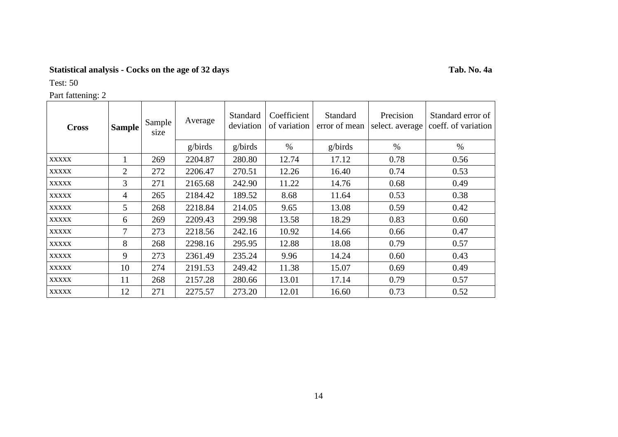# **Statistical analysis - Cocks on the age of 32 days Tab. No. 4a**

Test: 50

| Part fattening: 2 |                |                |         |                       |                             |                           |                              |                                          |  |  |
|-------------------|----------------|----------------|---------|-----------------------|-----------------------------|---------------------------|------------------------------|------------------------------------------|--|--|
| <b>Cross</b>      | Sample         | Sample<br>size | Average | Standard<br>deviation | Coefficient<br>of variation | Standard<br>error of mean | Precision<br>select. average | Standard error of<br>coeff. of variation |  |  |
|                   |                |                | g/birds | g/birds               | $\%$                        | g/birds                   | $\%$                         | $\%$                                     |  |  |
| <b>XXXXX</b>      |                | 269            | 2204.87 | 280.80                | 12.74                       | 17.12                     | 0.78                         | 0.56                                     |  |  |
| <b>XXXXX</b>      | $\overline{2}$ | 272            | 2206.47 | 270.51                | 12.26                       | 16.40                     | 0.74                         | 0.53                                     |  |  |
| <b>XXXXX</b>      | 3              | 271            | 2165.68 | 242.90                | 11.22                       | 14.76                     | 0.68                         | 0.49                                     |  |  |
| <b>XXXXX</b>      | 4              | 265            | 2184.42 | 189.52                | 8.68                        | 11.64                     | 0.53                         | 0.38                                     |  |  |
| <b>XXXXX</b>      | 5              | 268            | 2218.84 | 214.05                | 9.65                        | 13.08                     | 0.59                         | 0.42                                     |  |  |
| <b>XXXXX</b>      | 6              | 269            | 2209.43 | 299.98                | 13.58                       | 18.29                     | 0.83                         | 0.60                                     |  |  |
| <b>XXXXX</b>      | 7              | 273            | 2218.56 | 242.16                | 10.92                       | 14.66                     | 0.66                         | 0.47                                     |  |  |
| <b>XXXXX</b>      | 8              | 268            | 2298.16 | 295.95                | 12.88                       | 18.08                     | 0.79                         | 0.57                                     |  |  |
| <b>XXXXX</b>      | 9              | 273            | 2361.49 | 235.24                | 9.96                        | 14.24                     | 0.60                         | 0.43                                     |  |  |
| <b>XXXXX</b>      | 10             | 274            | 2191.53 | 249.42                | 11.38                       | 15.07                     | 0.69                         | 0.49                                     |  |  |
| <b>XXXXX</b>      | 11             | 268            | 2157.28 | 280.66                | 13.01                       | 17.14                     | 0.79                         | 0.57                                     |  |  |
| <b>XXXXX</b>      | 12             | 271            | 2275.57 | 273.20                | 12.01                       | 16.60                     | 0.73                         | 0.52                                     |  |  |